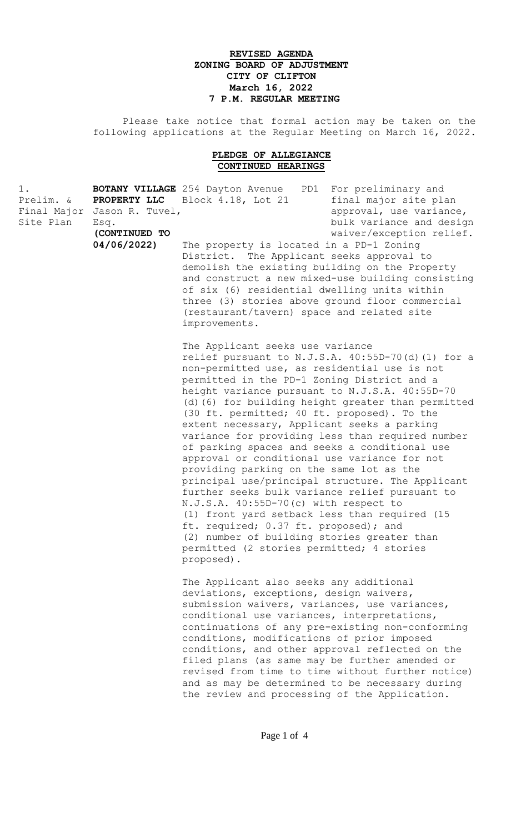## **REVISED AGENDA ZONING BOARD OF ADJUSTMENT CITY OF CLIFTON March 16, 2022 7 P.M. REGULAR MEETING**

 Please take notice that formal action may be taken on the following applications at the Regular Meeting on March 16, 2022.

## **PLEDGE OF ALLEGIANCE CONTINUED HEARINGS**

|                 |                                                                                                                                         | For preliminary and                                                               |  |
|-----------------|-----------------------------------------------------------------------------------------------------------------------------------------|-----------------------------------------------------------------------------------|--|
|                 |                                                                                                                                         | final major site plan                                                             |  |
| Jason R. Tuvel, |                                                                                                                                         | approval, use variance,                                                           |  |
| Esq.            |                                                                                                                                         | bulk variance and design                                                          |  |
| (CONTINUED TO   |                                                                                                                                         | waiver/exception relief.                                                          |  |
| 04/06/2022)     | The property is located in a PD-1 Zoning<br>District. The Applicant seeks approval to<br>demolish the existing building on the Property |                                                                                   |  |
|                 |                                                                                                                                         |                                                                                   |  |
|                 |                                                                                                                                         |                                                                                   |  |
|                 | and construct a new mixed-use building consisting                                                                                       |                                                                                   |  |
|                 |                                                                                                                                         | <b>BOTANY VILLAGE</b> 254 Dayton Avenue<br>PD1<br>PROPERTY LLC Block 4.18, Lot 21 |  |

of six (6) residential dwelling units within three (3) stories above ground floor commercial (restaurant/tavern) space and related site improvements.

The Applicant seeks use variance relief pursuant to N.J.S.A. 40:55D-70(d)(1) for a non-permitted use, as residential use is not permitted in the PD-1 Zoning District and a height variance pursuant to N.J.S.A. 40:55D-70 (d)(6) for building height greater than permitted (30 ft. permitted; 40 ft. proposed). To the extent necessary, Applicant seeks a parking variance for providing less than required number of parking spaces and seeks a conditional use approval or conditional use variance for not providing parking on the same lot as the principal use/principal structure. The Applicant further seeks bulk variance relief pursuant to N.J.S.A. 40:55D-70(c) with respect to (1) front yard setback less than required (15 ft. required; 0.37 ft. proposed); and (2) number of building stories greater than permitted (2 stories permitted; 4 stories proposed).

The Applicant also seeks any additional deviations, exceptions, design waivers, submission waivers, variances, use variances, conditional use variances, interpretations, continuations of any pre-existing non-conforming conditions, modifications of prior imposed conditions, and other approval reflected on the filed plans (as same may be further amended or revised from time to time without further notice) and as may be determined to be necessary during the review and processing of the Application.

Page 1 of 4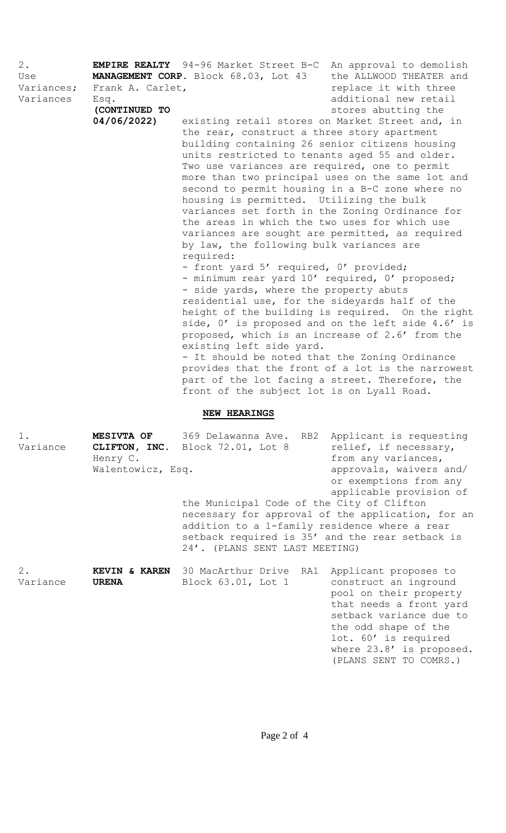| $2$ .<br>Use<br>Variances;<br>Variances | Frank A. Carlet,<br>Esq.<br>(CONTINUED TO<br>04/06/2022) | <b>EMPIRE REALTY</b> 94-96 Market Street B-C An approval to demolish<br><b>MANAGEMENT CORP.</b> Block 68.03, Lot 43<br>existing retail stores on Market Street and, in<br>the rear, construct a three story apartment<br>building containing 26 senior citizens housing<br>units restricted to tenants aged 55 and older.<br>Two use variances are required, one to permit<br>more than two principal uses on the same lot and<br>second to permit housing in a B-C zone where no<br>housing is permitted. Utilizing the bulk<br>variances set forth in the Zoning Ordinance for<br>the areas in which the two uses for which use<br>variances are sought are permitted, as required<br>by law, the following bulk variances are<br>required:<br>- front yard 5' required, 0' provided;<br>- minimum rear yard 10' required, 0' proposed;<br>- side yards, where the property abuts<br>residential use, for the sideyards half of the<br>height of the building is required. On the right<br>proposed, which is an increase of 2.6' from the<br>existing left side yard.<br>- It should be noted that the Zoning Ordinance<br>provides that the front of a lot is the narrowest<br>part of the lot facing a street. Therefore, the<br>front of the subject lot is on Lyall Road. | the ALLWOOD THEATER and<br>replace it with three<br>additional new retail<br>stores abutting the<br>side, 0' is proposed and on the left side 4.6' is                                                                                |
|-----------------------------------------|----------------------------------------------------------|----------------------------------------------------------------------------------------------------------------------------------------------------------------------------------------------------------------------------------------------------------------------------------------------------------------------------------------------------------------------------------------------------------------------------------------------------------------------------------------------------------------------------------------------------------------------------------------------------------------------------------------------------------------------------------------------------------------------------------------------------------------------------------------------------------------------------------------------------------------------------------------------------------------------------------------------------------------------------------------------------------------------------------------------------------------------------------------------------------------------------------------------------------------------------------------------------------------------------------------------------------------------------------|--------------------------------------------------------------------------------------------------------------------------------------------------------------------------------------------------------------------------------------|
|                                         |                                                          | <b>NEW HEARINGS</b>                                                                                                                                                                                                                                                                                                                                                                                                                                                                                                                                                                                                                                                                                                                                                                                                                                                                                                                                                                                                                                                                                                                                                                                                                                                              |                                                                                                                                                                                                                                      |
| $1$ .<br>Variance                       | MESIVTA OF<br>Henry C.<br>Walentowicz, Esq.              | 369 Delawanna Ave.<br>RB2<br>CLIFTON, INC. Block 72.01, Lot 8<br>the Municipal Code of the City of Clifton<br>necessary for approval of the application, for an<br>addition to a 1-family residence where a rear<br>setback required is 35' and the rear setback is<br>24'. (PLANS SENT LAST MEETING)                                                                                                                                                                                                                                                                                                                                                                                                                                                                                                                                                                                                                                                                                                                                                                                                                                                                                                                                                                            | Applicant is requesting<br>relief, if necessary,<br>from any variances,<br>approvals, waivers and/<br>or exemptions from any<br>applicable provision of                                                                              |
| $2$ .<br>Variance                       | <b>KEVIN &amp; KAREN</b><br><b>URENA</b>                 | 30 MacArthur Drive<br>RA1<br>Block 63.01, Lot 1                                                                                                                                                                                                                                                                                                                                                                                                                                                                                                                                                                                                                                                                                                                                                                                                                                                                                                                                                                                                                                                                                                                                                                                                                                  | Applicant proposes to<br>construct an inground<br>pool on their property<br>that needs a front yard<br>setback variance due to<br>the odd shape of the<br>lot. 60' is required<br>where 23.8' is proposed.<br>(PLANS SENT TO COMRS.) |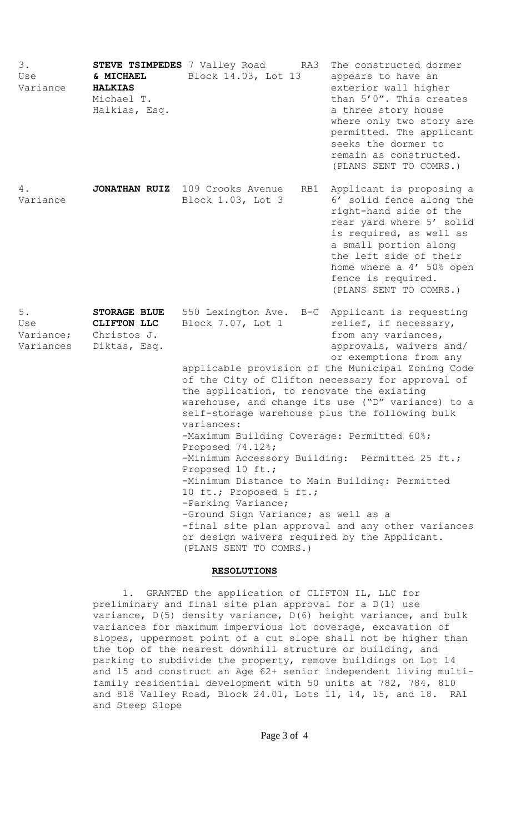| 3.<br>Use<br>Variance                 | & MICHAEL<br><b>HALKIAS</b><br>Michael T.<br>Halkias, Esq.        | STEVE TSIMPEDES 7 Valley Road<br>RA3<br>Block 14.03, Lot 13                                                                                                                                                                                                                                                                                                                                                                                                                                                                                                                                                                                                                                                                                                                                                                                     | The constructed dormer<br>appears to have an<br>exterior wall higher<br>than 5'0". This creates<br>a three story house<br>where only two story are<br>permitted. The applicant<br>seeks the dormer to<br>remain as constructed.<br>(PLANS SENT TO COMRS.)            |
|---------------------------------------|-------------------------------------------------------------------|-------------------------------------------------------------------------------------------------------------------------------------------------------------------------------------------------------------------------------------------------------------------------------------------------------------------------------------------------------------------------------------------------------------------------------------------------------------------------------------------------------------------------------------------------------------------------------------------------------------------------------------------------------------------------------------------------------------------------------------------------------------------------------------------------------------------------------------------------|----------------------------------------------------------------------------------------------------------------------------------------------------------------------------------------------------------------------------------------------------------------------|
| 4.<br>Variance                        |                                                                   | JONATHAN RUIZ 109 Crooks Avenue<br>RB1<br>Block 1.03, Lot 3                                                                                                                                                                                                                                                                                                                                                                                                                                                                                                                                                                                                                                                                                                                                                                                     | Applicant is proposing a<br>6' solid fence along the<br>right-hand side of the<br>rear yard where 5' solid<br>is required, as well as<br>a small portion along<br>the left side of their<br>home where a 4' 50% open<br>fence is required.<br>(PLANS SENT TO COMRS.) |
| $5.$<br>Use<br>Variance;<br>Variances | <b>STORAGE BLUE</b><br>CLIFTON LLC<br>Christos J.<br>Diktas, Esq. | 550 Lexington Ave.<br>Applicant is requesting<br>B-C<br>Block 7.07, Lot 1<br>relief, if necessary,<br>from any variances,<br>approvals, waivers and/<br>or exemptions from any<br>applicable provision of the Municipal Zoning Code<br>of the City of Clifton necessary for approval of<br>the application, to renovate the existing<br>warehouse, and change its use ("D" variance) to a<br>self-storage warehouse plus the following bulk<br>variances:<br>-Maximum Building Coverage: Permitted 60%;<br>Proposed 74.12%;<br>-Minimum Accessory Building: Permitted 25 ft.;<br>Proposed 10 ft.;<br>-Minimum Distance to Main Building: Permitted<br>10 ft.; Proposed 5 ft.;<br>-Parking Variance;<br>-Ground Sign Variance; as well as a<br>-final site plan approval and any other variances<br>or design waivers required by the Applicant. |                                                                                                                                                                                                                                                                      |

## **RESOLUTIONS**

1. GRANTED the application of CLIFTON IL, LLC for preliminary and final site plan approval for a D(1) use variance, D(5) density variance, D(6) height variance, and bulk variances for maximum impervious lot coverage, excavation of slopes, uppermost point of a cut slope shall not be higher than the top of the nearest downhill structure or building, and parking to subdivide the property, remove buildings on Lot 14 and 15 and construct an Age 62+ senior independent living multifamily residential development with 50 units at 782, 784, 810 and 818 Valley Road, Block 24.01, Lots 11, 14, 15, and 18. RA1 and Steep Slope